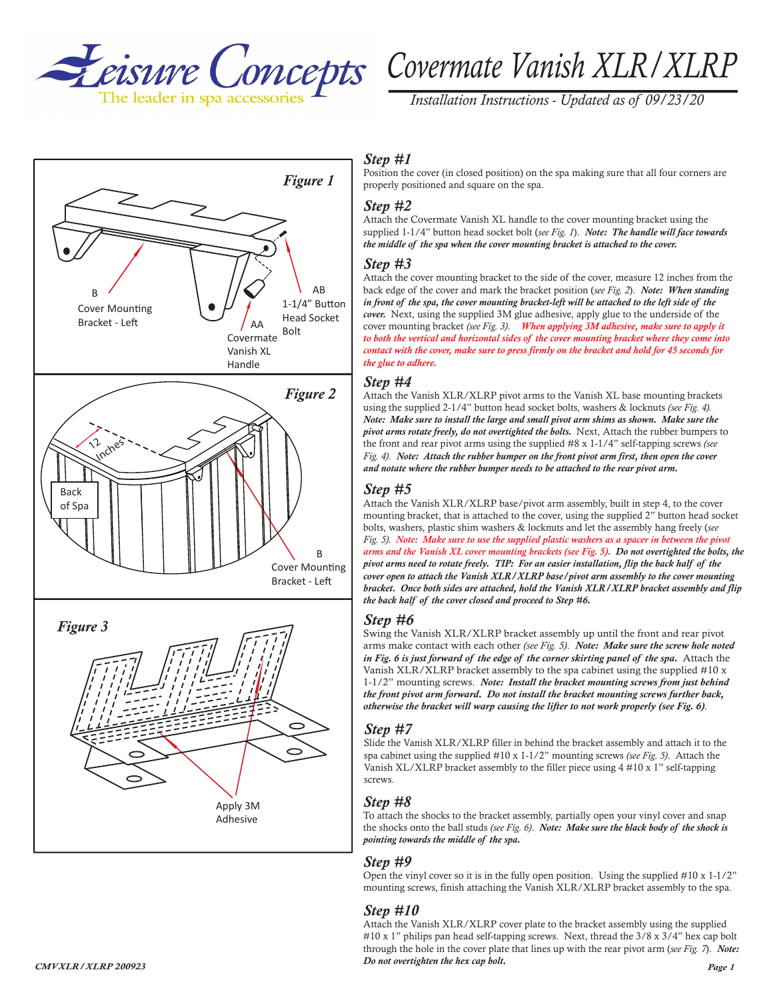



*Installation Instructions - Updated as of 09/23/20*

# *Step #1*

Position the cover (in closed position) on the spa making sure that all four corners are properly positioned and square on the spa.

#### *Step #2*

Attach the Covermate Vanish XL handle to the cover mounting bracket using the supplied 1-1/4" button head socket bolt (*see Fig. 1*). *Note: The handle will face towards the middle of the spa when the cover mounting bracket is attached to the cover.*

# *Step #3*

Attach the cover mounting bracket to the side of the cover, measure 12 inches from the back edge of the cover and mark the bracket position (*see Fig. 2*). *Note: When standing in front of the spa, the cover mounting bracket-left will be attached to the left side of the cover.* Next, using the supplied 3M glue adhesive, apply glue to the underside of the cover mounting bracket *(see Fig. 3)*. *When applying 3M adhesive, make sure to apply it to both the vertical and horizontal sides of the cover mounting bracket where they come into contact with the cover, make sure to press firmly on the bracket and hold for 45 seconds for the glue to adhere.* 

#### *Step #4*

Attach the Vanish XLR/XLRP pivot arms to the Vanish XL base mounting brackets using the supplied 2-1/4" button head socket bolts, washers & locknuts *(see Fig. 4). Note: Make sure to install the large and small pivot arm shims as shown. Make sure the pivot arms rotate freely, do not overtighted the bolts.* Next, Attach the rubber bumpers to the front and rear pivot arms using the supplied #8 x 1-1/4" self-tapping screws *(see Fig. 4)*. *Note: Attach the rubber bumper on the front pivot arm first, then open the cover and notate where the rubber bumper needs to be attached to the rear pivot arm.*

# *Step #5*

Attach the Vanish XLR/XLRP base/pivot arm assembly, built in step 4, to the cover mounting bracket, that is attached to the cover, using the supplied 2" button head socket bolts, washers, plastic shim washers & locknuts and let the assembly hang freely (*see Fig. 5). Note: Make sure to use the supplied plastic washers as a spacer in between the pivot arms and the Vanish XL cover mounting brackets (see Fig. 5). Do not overtighted the bolts, the pivot arms need to rotate freely. TIP: For an easier installation, flip the back half of the cover open to attach the Vanish XLR/XLRP base/pivot arm assembly to the cover mounting bracket. Once both sides are attached, hold the Vanish XLR/XLRP bracket assembly and flip the back half of the cover closed and proceed to Step #6.*

## *Step #6*

Swing the Vanish XLR/XLRP bracket assembly up until the front and rear pivot arms make contact with each other *(see Fig. 5)*. *Note: Make sure the screw hole noted in Fig. 6 is just forward of the edge of the corner skirting panel of the spa.* Attach the Vanish XLR/XLRP bracket assembly to the spa cabinet using the supplied #10 x 1-1/2" mounting screws. *Note: Install the bracket mounting screws from just behind the front pivot arm forward. Do not install the bracket mounting screws further back, otherwise the bracket will warp causing the lifter to not work properly (see Fig. 6)*.

#### *Step #7*

Slide the Vanish XLR/XLRP filler in behind the bracket assembly and attach it to the spa cabinet using the supplied #10 x 1-1/2" mounting screws *(see Fig. 5)*. Attach the Vanish XL/XLRP bracket assembly to the filler piece using 4 #10 x 1" self-tapping screws.

## *Step #8*

To attach the shocks to the bracket assembly, partially open your vinyl cover and snap the shocks onto the ball studs *(see Fig. 6)*. *Note: Make sure the black body of the shock is pointing towards the middle of the spa.*

#### *Step #9*

Open the vinyl cover so it is in the fully open position. Using the supplied #10 x 1-1/2" mounting screws, finish attaching the Vanish XLR/XLRP bracket assembly to the spa.

## *Step #10*

*CMVXLR/XLRP* 200923 *Page 1 Page 1 Page 1 Page 1 Page 1 Page 1 Page 1 Page 1* Attach the Vanish XLR/XLRP cover plate to the bracket assembly using the supplied #10 x 1" philips pan head self-tapping screws. Next, thread the 3/8 x 3/4" hex cap bolt through the hole in the cover plate that lines up with the rear pivot arm (*see Fig. 7*). *Note: Do not overtighten the hex cap bolt.*